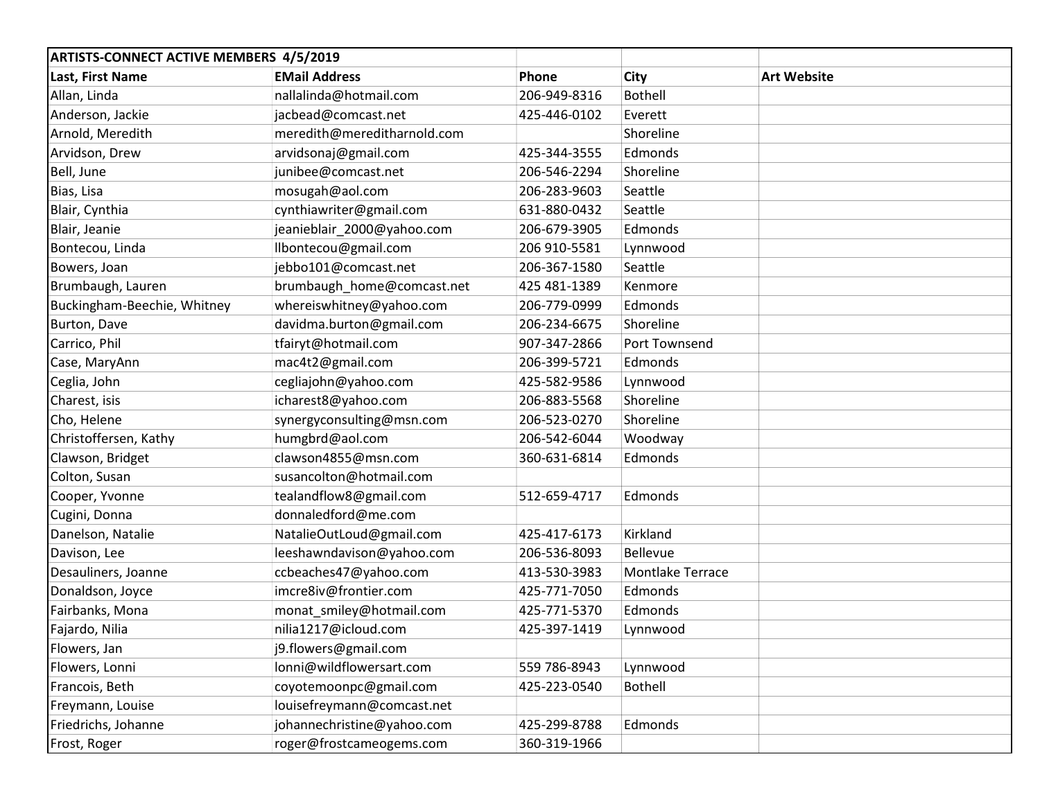| <b>ARTISTS-CONNECT ACTIVE MEMBERS 4/5/2019</b> |                             |              |                  |                    |
|------------------------------------------------|-----------------------------|--------------|------------------|--------------------|
| Last, First Name                               | <b>EMail Address</b>        | Phone        | City             | <b>Art Website</b> |
| Allan, Linda                                   | nallalinda@hotmail.com      | 206-949-8316 | <b>Bothell</b>   |                    |
| Anderson, Jackie                               | jacbead@comcast.net         | 425-446-0102 | Everett          |                    |
| Arnold, Meredith                               | meredith@mereditharnold.com |              | Shoreline        |                    |
| Arvidson, Drew                                 | arvidsonaj@gmail.com        | 425-344-3555 | Edmonds          |                    |
| Bell, June                                     | junibee@comcast.net         | 206-546-2294 | Shoreline        |                    |
| Bias, Lisa                                     | mosugah@aol.com             | 206-283-9603 | Seattle          |                    |
| Blair, Cynthia                                 | cynthiawriter@gmail.com     | 631-880-0432 | Seattle          |                    |
| Blair, Jeanie                                  | jeanieblair 2000@yahoo.com  | 206-679-3905 | Edmonds          |                    |
| Bontecou, Linda                                | llbontecou@gmail.com        | 206 910-5581 | Lynnwood         |                    |
| Bowers, Joan                                   | jebbo101@comcast.net        | 206-367-1580 | Seattle          |                    |
| Brumbaugh, Lauren                              | brumbaugh_home@comcast.net  | 425 481-1389 | Kenmore          |                    |
| Buckingham-Beechie, Whitney                    | whereiswhitney@yahoo.com    | 206-779-0999 | Edmonds          |                    |
| Burton, Dave                                   | davidma.burton@gmail.com    | 206-234-6675 | Shoreline        |                    |
| Carrico, Phil                                  | tfairyt@hotmail.com         | 907-347-2866 | Port Townsend    |                    |
| Case, MaryAnn                                  | mac4t2@gmail.com            | 206-399-5721 | Edmonds          |                    |
| Ceglia, John                                   | cegliajohn@yahoo.com        | 425-582-9586 | Lynnwood         |                    |
| Charest, isis                                  | icharest8@yahoo.com         | 206-883-5568 | Shoreline        |                    |
| Cho, Helene                                    | synergyconsulting@msn.com   | 206-523-0270 | Shoreline        |                    |
| Christoffersen, Kathy                          | humgbrd@aol.com             | 206-542-6044 | Woodway          |                    |
| Clawson, Bridget                               | clawson4855@msn.com         | 360-631-6814 | Edmonds          |                    |
| Colton, Susan                                  | susancolton@hotmail.com     |              |                  |                    |
| Cooper, Yvonne                                 | tealandflow8@gmail.com      | 512-659-4717 | Edmonds          |                    |
| Cugini, Donna                                  | donnaledford@me.com         |              |                  |                    |
| Danelson, Natalie                              | NatalieOutLoud@gmail.com    | 425-417-6173 | Kirkland         |                    |
| Davison, Lee                                   | leeshawndavison@yahoo.com   | 206-536-8093 | <b>Bellevue</b>  |                    |
| Desauliners, Joanne                            | ccbeaches47@yahoo.com       | 413-530-3983 | Montlake Terrace |                    |
| Donaldson, Joyce                               | imcre8iv@frontier.com       | 425-771-7050 | Edmonds          |                    |
| Fairbanks, Mona                                | monat_smiley@hotmail.com    | 425-771-5370 | Edmonds          |                    |
| Fajardo, Nilia                                 | nilia1217@icloud.com        | 425-397-1419 | Lynnwood         |                    |
| Flowers, Jan                                   | j9.flowers@gmail.com        |              |                  |                    |
| Flowers, Lonni                                 | lonni@wildflowersart.com    | 559 786-8943 | Lynnwood         |                    |
| Francois, Beth                                 | coyotemoonpc@gmail.com      | 425-223-0540 | <b>Bothell</b>   |                    |
| Freymann, Louise                               | louisefreymann@comcast.net  |              |                  |                    |
| Friedrichs, Johanne                            | johannechristine@yahoo.com  | 425-299-8788 | Edmonds          |                    |
| Frost, Roger                                   | roger@frostcameogems.com    | 360-319-1966 |                  |                    |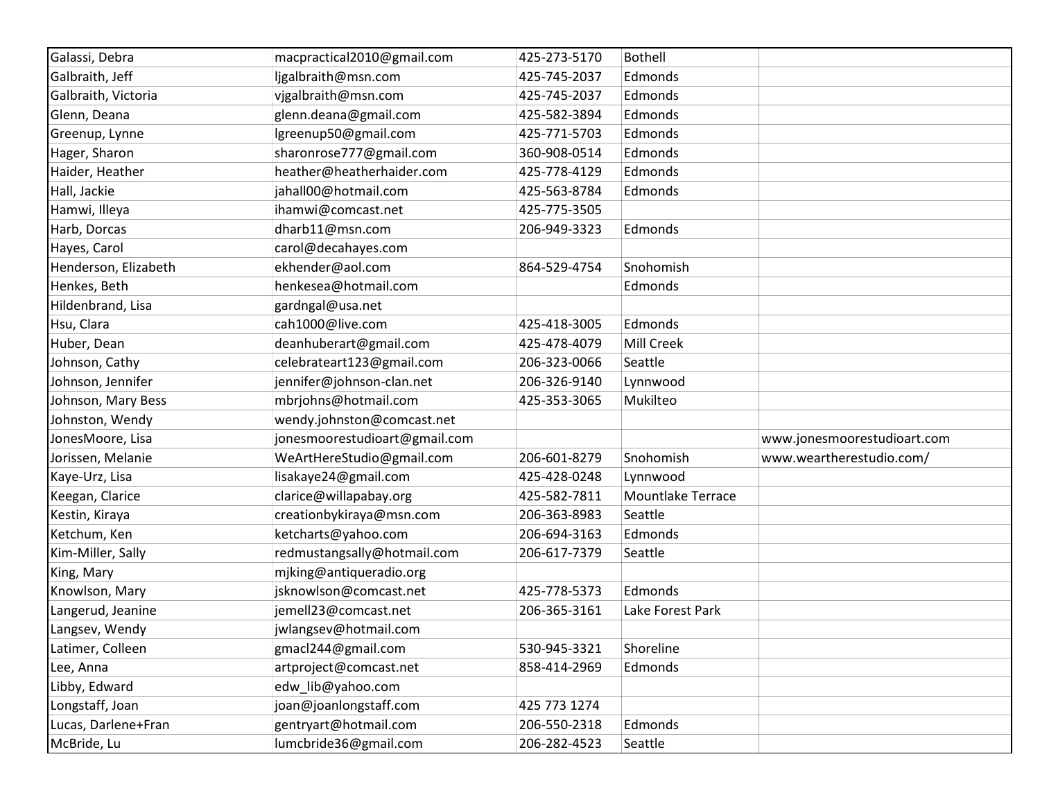| Galassi, Debra       | macpractical2010@gmail.com    | 425-273-5170 | <b>Bothell</b>           |                             |
|----------------------|-------------------------------|--------------|--------------------------|-----------------------------|
| Galbraith, Jeff      | ljgalbraith@msn.com           | 425-745-2037 | Edmonds                  |                             |
| Galbraith, Victoria  | vjgalbraith@msn.com           | 425-745-2037 | Edmonds                  |                             |
| Glenn, Deana         | glenn.deana@gmail.com         | 425-582-3894 | Edmonds                  |                             |
| Greenup, Lynne       | lgreenup50@gmail.com          | 425-771-5703 | Edmonds                  |                             |
| Hager, Sharon        | sharonrose777@gmail.com       | 360-908-0514 | Edmonds                  |                             |
| Haider, Heather      | heather@heatherhaider.com     | 425-778-4129 | Edmonds                  |                             |
| Hall, Jackie         | jahall00@hotmail.com          | 425-563-8784 | Edmonds                  |                             |
| Hamwi, Illeya        | ihamwi@comcast.net            | 425-775-3505 |                          |                             |
| Harb, Dorcas         | dharb11@msn.com               | 206-949-3323 | Edmonds                  |                             |
| Hayes, Carol         | carol@decahayes.com           |              |                          |                             |
| Henderson, Elizabeth | ekhender@aol.com              | 864-529-4754 | Snohomish                |                             |
| Henkes, Beth         | henkesea@hotmail.com          |              | Edmonds                  |                             |
| Hildenbrand, Lisa    | gardngal@usa.net              |              |                          |                             |
| Hsu, Clara           | cah1000@live.com              | 425-418-3005 | Edmonds                  |                             |
| Huber, Dean          | deanhuberart@gmail.com        | 425-478-4079 | Mill Creek               |                             |
| Johnson, Cathy       | celebrateart123@gmail.com     | 206-323-0066 | Seattle                  |                             |
| Johnson, Jennifer    | jennifer@johnson-clan.net     | 206-326-9140 | Lynnwood                 |                             |
| Johnson, Mary Bess   | mbrjohns@hotmail.com          | 425-353-3065 | Mukilteo                 |                             |
| Johnston, Wendy      | wendy.johnston@comcast.net    |              |                          |                             |
| JonesMoore, Lisa     | jonesmoorestudioart@gmail.com |              |                          | www.jonesmoorestudioart.com |
| Jorissen, Melanie    | WeArtHereStudio@gmail.com     | 206-601-8279 | Snohomish                | www.weartherestudio.com/    |
| Kaye-Urz, Lisa       | lisakaye24@gmail.com          | 425-428-0248 | Lynnwood                 |                             |
| Keegan, Clarice      | clarice@willapabay.org        | 425-582-7811 | <b>Mountlake Terrace</b> |                             |
| Kestin, Kiraya       | creationbykiraya@msn.com      | 206-363-8983 | Seattle                  |                             |
| Ketchum, Ken         | ketcharts@yahoo.com           | 206-694-3163 | Edmonds                  |                             |
| Kim-Miller, Sally    | redmustangsally@hotmail.com   | 206-617-7379 | Seattle                  |                             |
| King, Mary           | mjking@antiqueradio.org       |              |                          |                             |
| Knowlson, Mary       | jsknowlson@comcast.net        | 425-778-5373 | Edmonds                  |                             |
| Langerud, Jeanine    | jemell23@comcast.net          | 206-365-3161 | Lake Forest Park         |                             |
| Langsev, Wendy       | jwlangsev@hotmail.com         |              |                          |                             |
| Latimer, Colleen     | gmacl244@gmail.com            | 530-945-3321 | Shoreline                |                             |
| Lee, Anna            | artproject@comcast.net        | 858-414-2969 | Edmonds                  |                             |
| Libby, Edward        | edw lib@yahoo.com             |              |                          |                             |
| Longstaff, Joan      | joan@joanlongstaff.com        | 425 773 1274 |                          |                             |
| Lucas, Darlene+Fran  | gentryart@hotmail.com         | 206-550-2318 | Edmonds                  |                             |
| McBride, Lu          | lumcbride36@gmail.com         | 206-282-4523 | Seattle                  |                             |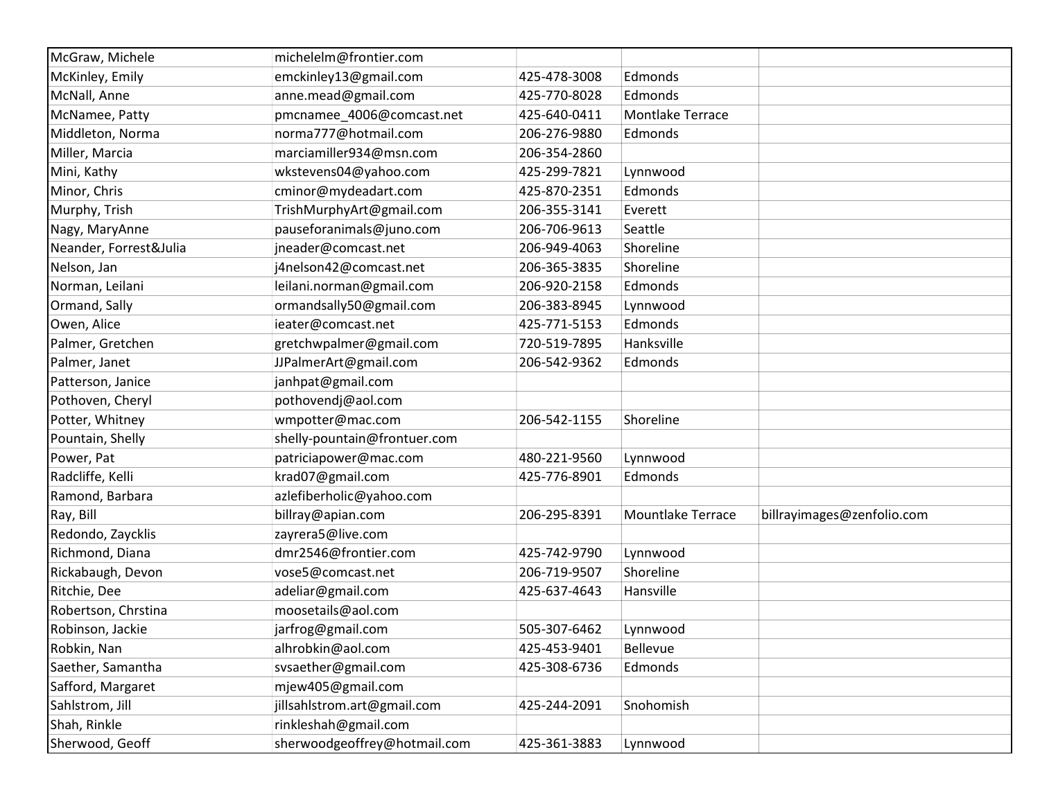| McGraw, Michele        | michelelm@frontier.com       |              |                          |                            |
|------------------------|------------------------------|--------------|--------------------------|----------------------------|
| McKinley, Emily        | emckinley13@gmail.com        | 425-478-3008 | Edmonds                  |                            |
| McNall, Anne           | anne.mead@gmail.com          | 425-770-8028 | Edmonds                  |                            |
| McNamee, Patty         | pmcnamee_4006@comcast.net    | 425-640-0411 | Montlake Terrace         |                            |
| Middleton, Norma       | norma777@hotmail.com         | 206-276-9880 | Edmonds                  |                            |
| Miller, Marcia         | marciamiller934@msn.com      | 206-354-2860 |                          |                            |
| Mini, Kathy            | wkstevens04@yahoo.com        | 425-299-7821 | Lynnwood                 |                            |
| Minor, Chris           | cminor@mydeadart.com         | 425-870-2351 | Edmonds                  |                            |
| Murphy, Trish          | TrishMurphyArt@gmail.com     | 206-355-3141 | Everett                  |                            |
| Nagy, MaryAnne         | pauseforanimals@juno.com     | 206-706-9613 | Seattle                  |                            |
| Neander, Forrest&Julia | jneader@comcast.net          | 206-949-4063 | Shoreline                |                            |
| Nelson, Jan            | j4nelson42@comcast.net       | 206-365-3835 | Shoreline                |                            |
| Norman, Leilani        | leilani.norman@gmail.com     | 206-920-2158 | Edmonds                  |                            |
| Ormand, Sally          | ormandsally50@gmail.com      | 206-383-8945 | Lynnwood                 |                            |
| Owen, Alice            | ieater@comcast.net           | 425-771-5153 | Edmonds                  |                            |
| Palmer, Gretchen       | gretchwpalmer@gmail.com      | 720-519-7895 | Hanksville               |                            |
| Palmer, Janet          | JJPalmerArt@gmail.com        | 206-542-9362 | Edmonds                  |                            |
| Patterson, Janice      | janhpat@gmail.com            |              |                          |                            |
| Pothoven, Cheryl       | pothovendj@aol.com           |              |                          |                            |
| Potter, Whitney        | wmpotter@mac.com             | 206-542-1155 | Shoreline                |                            |
| Pountain, Shelly       | shelly-pountain@frontuer.com |              |                          |                            |
| Power, Pat             | patriciapower@mac.com        | 480-221-9560 | Lynnwood                 |                            |
| Radcliffe, Kelli       | krad07@gmail.com             | 425-776-8901 | Edmonds                  |                            |
| Ramond, Barbara        | azlefiberholic@yahoo.com     |              |                          |                            |
| Ray, Bill              | billray@apian.com            | 206-295-8391 | <b>Mountlake Terrace</b> | billrayimages@zenfolio.com |
| Redondo, Zaycklis      | zayrera5@live.com            |              |                          |                            |
| Richmond, Diana        | dmr2546@frontier.com         | 425-742-9790 | Lynnwood                 |                            |
| Rickabaugh, Devon      | vose5@comcast.net            | 206-719-9507 | Shoreline                |                            |
| Ritchie, Dee           | adeliar@gmail.com            | 425-637-4643 | Hansville                |                            |
| Robertson, Chrstina    | moosetails@aol.com           |              |                          |                            |
| Robinson, Jackie       | jarfrog@gmail.com            | 505-307-6462 | Lynnwood                 |                            |
| Robkin, Nan            | alhrobkin@aol.com            | 425-453-9401 | Bellevue                 |                            |
| Saether, Samantha      | svsaether@gmail.com          | 425-308-6736 | Edmonds                  |                            |
| Safford, Margaret      | mjew405@gmail.com            |              |                          |                            |
| Sahlstrom, Jill        | jillsahlstrom.art@gmail.com  | 425-244-2091 | Snohomish                |                            |
| Shah, Rinkle           | rinkleshah@gmail.com         |              |                          |                            |
| Sherwood, Geoff        | sherwoodgeoffrey@hotmail.com | 425-361-3883 | Lynnwood                 |                            |